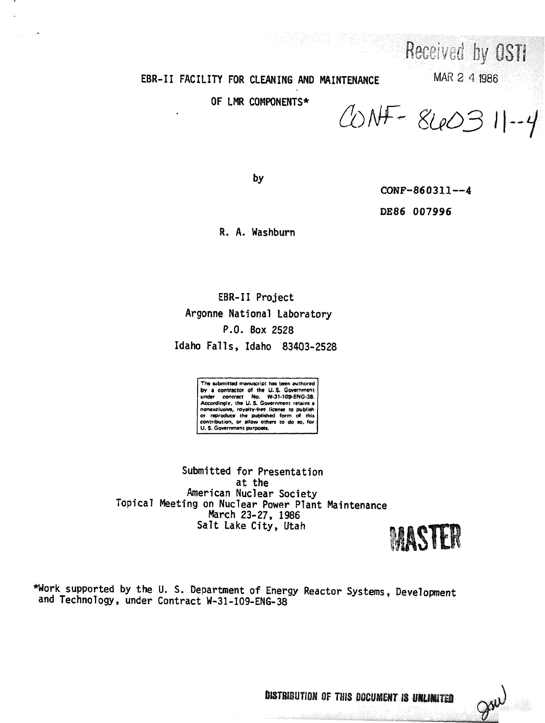# EBR-II FACILITY FOR CLEANING AND MAINTENANCE

OF LMR COMPONENTS\*

 $CDNF - 840311 - 4$ 

MAR 2 4 1986

Received by OSTI

by

CONF-860311--4

DE86 007996

R. A. Washburn

EBR-II Project Argonne National Laboratory P.O. Box 2528 Idaho Falls, Idaho 83403-2528

**The submitted manuscript has been authored by a contractor of the U.S. Government**<br>under contract No. W-31-109-ENG-38.<br>Accordingly, the U.S. Government retains a **nonexclusive, royelty\*fre9 license to publish or reproduce the published form of this contribution, or allow others to do so, for U. S. Government purposes.**

**Submitted for Presentation at the American Nuclear Society Topical Meeting on Nuclear Power Plant Maintenance March 23-27, 1986 Salt Lake City, Utah**



**\*Work supported by the U. S. Department of Energy Reactor Systems, Development and Technology, under Contract W-31-109-ENG-38**

DISTBIBUTION OF THIS DOCUMENT IS UNLIMITED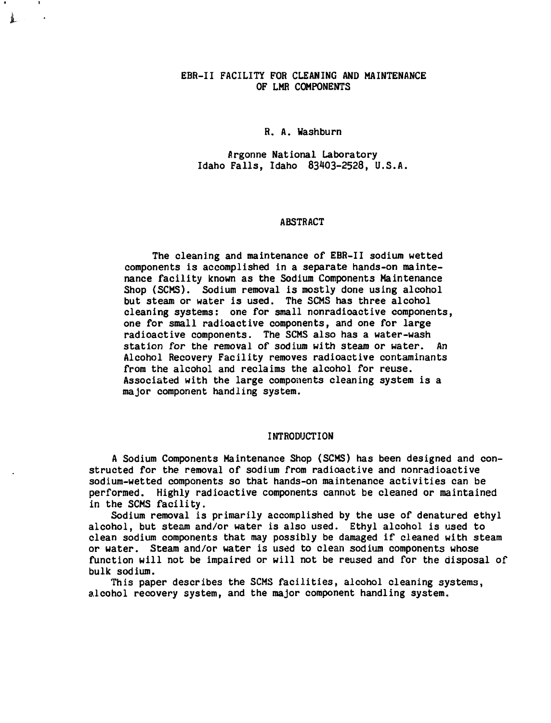# **EBR-II FACILITY FOR CLEANING AND MAINTENANCE OF LMR COMPONENTS**

# **R. A. Washburn**

**P.rgonne National Laboratory Idaho Falls, Idaho 83MO3-2528, U.S.A.**

#### **ABSTRACT**

**The cleaning and maintenance of EBR-II sodium wetted components is accomplished in a separate hands-on maintenance facility known as the Sodium Components Maintenance Shop (SCMS). Sodium removal is mostly done using alcohol but steam or water is used. The SCMS has three alcohol cleaning systems: one for small nonradioactive components, one for small radioactive components, and one for large radioactive components. The SCMS also has a water-wash station for the removal of sodium with steam or water. An Alcohol Recovery Facility removes radioactive contaminants from the alcohol and reclaims the alcohol for reuse. Associated with the large components cleaning system is a major component handling system.**

#### **INTRODUCTION**

**A Sodium Components Maintenance Shop (SCMS) has been designed and constructed for the removal of sodium from radioactive and nonradioactive sodium-wetted components so that hands-on maintenance activities can be performed. Highly radioactive components cannot be cleaned or maintained in the SCMS facility.**

**Sodium removal is primarily accomplished by the use of denatured ethyl alcohol, but steam and/or water is also used. Ethyl alcohol is used to clean sodium components that may possibly be damaged if cleaned with steam or water. Steam and/or water is used to clean sodium components whose function will not be impaired or will not be reused and for the disposal of bulk sodium.**

**This paper describes the SCMS facilities, alcohol cleaning systems, alcohol recovery system, and the major component handling system.**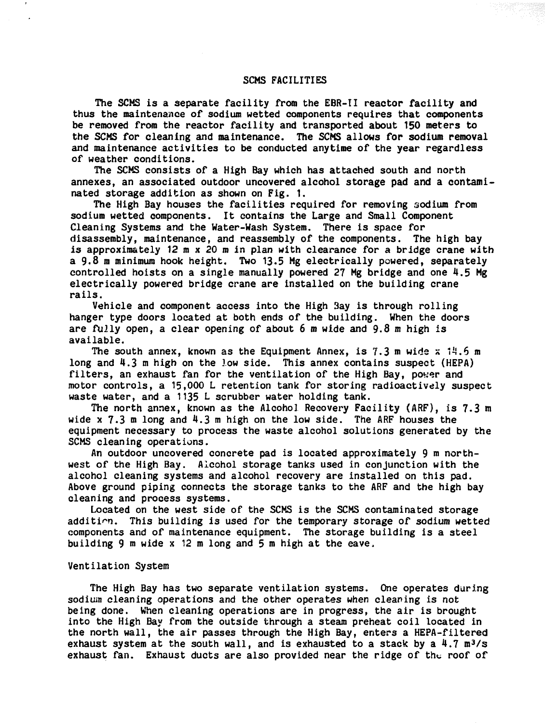## **SCMS FACILITIES**

**The SCMS is a separate facility from the EBR-II reactor facility and thus the maintenance of sodium wetted components requires that components be removed from the reactor facility and transported about 150 meters to the SCMS for cleaning and maintenance. The SCMS allows for sodium removal and maintenance activities to be conducted anytime of the year regardless of weather conditions.**

**The SCMS consists of a High Bay which has attached south and north annexes, an associated outdoor uncovered alcohol storage pad and a contaminated storage addition as shown on Fig. 1.**

**The High Bay houses the facilities required for removing sodium from sodium wetted components. It contains the Large and Small Component Cleaning Systems and the Water-Wash System. There is space for disassembly, maintenance, and reassembly of the components. The high bay is approximately 12 m x 20 m in plan with clearance for a bridge crane with a 9.8 m minimum hook height. Two 13.5 Mg electrically powered, separately controlled hoists on a single manually powered 27 Mg bridge and one 4.5 Mg electrically powered bridge crane are installed on the building crane rails.**

**Vehicle and component access into the High 3ay is through rolling hanger type doors located at both ends of the building. When the doors are fully open, a clear opening of about 6 m wide and 9.8 m high is available.**

**The south annex, known as the Equipment Annex, is 7.3 m wide x 14.6 m long and 4.3 m high on the low side. This annex contains suspect (HEPA) filters, an exhaust fan for the ventilation of the High Bay, power and motor controls, a 15,000 L retention tank for storing radioactively suspect waste water, and a 1135 L scrubber water holding tank.**

**The north annex, known as the Alcohol Recovery Facility (ARF), is 7.3 m wide x 7.3 m long and 4.3 m high on the low side. The ARF houses the equipment necessary to process the waste alcohol solutions generated by the SCMS cleaning operations.**

**An outdoor uncovered concrete pad is located approximately 9 m northwest of the High Bay. Alcohol storage tanks used in conjunction with the alcohol cleaning systems and alcohol recovery are installed on this pad. Above ground piping connects the storage tanks to the ARF and the high bay cleaning and process systems.**

**Located on the west side of the SCMS is the SCMS contaminated storage addition. This building is used for the temporary storage of sodium wetted components and of maintenance equipment. The storage building is a steel building 9 m wide x 12 m long and 5 m high at the eave,**

#### **Ventilation System**

**The High Bay has two separate ventilation systems. One operates during sodium cleaning operations and the other operates when cleaning is not being done. When cleaning operations are in progress, the air is brought into the High Bay from the outside through a steam preheat coil located in the north wall, the air passes through the High Bay, enters a HEPA-filtered exhaust system at the south wall, and is exhausted to a stack by a 4.7 m<sup>3</sup>/s exhaust fan. Exhaust ducts are also provided near the ridge of the roof of**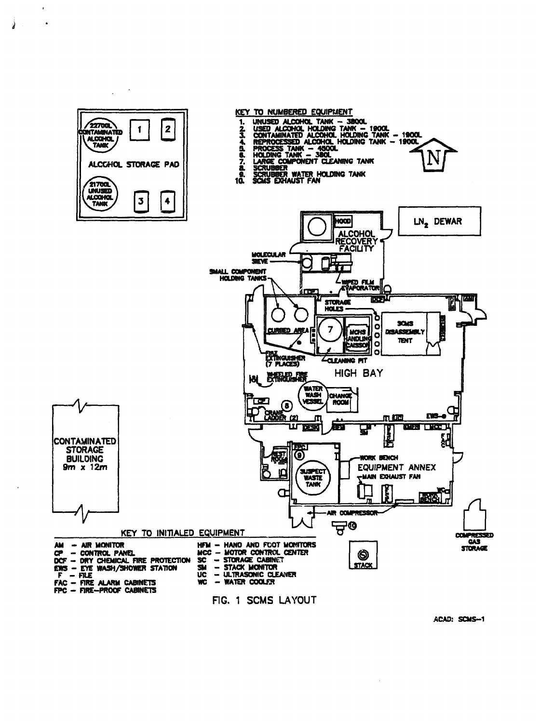

**ACAD: SCMS-1**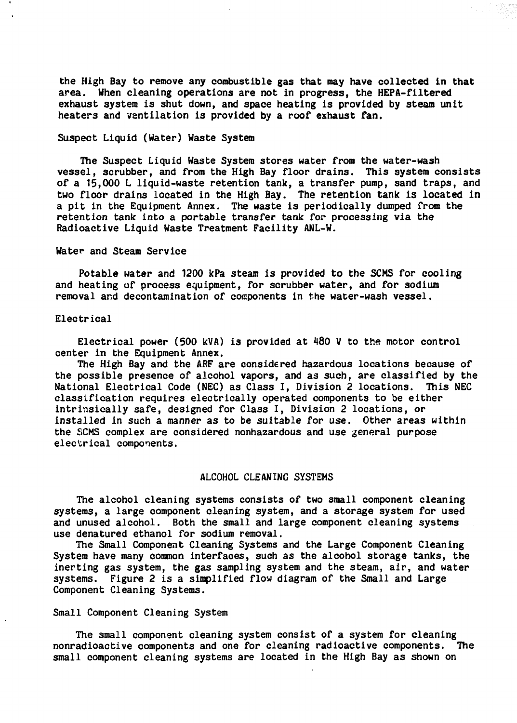**the High Bay to remove any combustible gas that may have collected in that area. When cleaning operations are not in progress, the HEPA-filtered exhaust system is shut down, and space heating is provided by steam unit heaters and ventilation is provided by a roof exhaust fan.**

# **Suspect Liquid (Water) Waste System**

**The Suspect Liquid Waste System stores water from the water-wash vessel, scrubber, and from the High Bay floor drains. This system consists of a 15,000 L liquid-waste retention tank, a transfer pump, sand traps, and two floor drains located in the High Bay. The retention tank is located in a pit in the Equipment Annex. The waste is periodically dumped from the retention tank into a portable transfer tank for processing via the Radioactive Liquid Waste Treatment Facility ANL-W.**

#### **Water and Steam Service**

**Potable water and 1200 kPa steam is provided to the SCMS for cooling and heating of process equipment, for scrubber water, and for sodium removal and decontamination of components in the water-wash vessel.**

#### **Electrical**

**Electrical power (500 kVA) is provided at 480 V to the motor control center in the Equipment Annex.**

**The High Bay and the ARF are considered hazardous locations because of the possible presence of alcohol vapors, and as such, are classified by the National Electrical Code (NEC) as Class I, Division 2 locations. This NEC classification requires electrically operated components to be either intrinsically safe, designed for Class I, Division 2 locations, or installed in such a manner as to be suitable for use. Other areas within the 5JCMS complex are considered nonhazardous and use general purpose electrical components.**

#### **ALCOHOL CLEANING SYSTEMS**

**The alcohol cleaning systems consists of two small component cleaning systems, a large component cleaning system, and a storage system for used and unused alcohol. Both the small and large component cleaning systems use denatured ethanol for sodium removal.**

**The Small Component Cleaning Systems and the Large Component Cleaning System have many common interfaces, such as the alcohol storage tanks, the inerting gas system, the gas sampling system and the steam, air, and water systems. Figure 2 is a simplified flow diagram of the Small and Large Component Cleaning Systems.**

## **Small Component Cleaning System**

**The small component cleaning system consist of a system for cleaning nonradioactive components and one for cleaning radioactive components. The small component cleaning systems are located in the High Bay as shown on**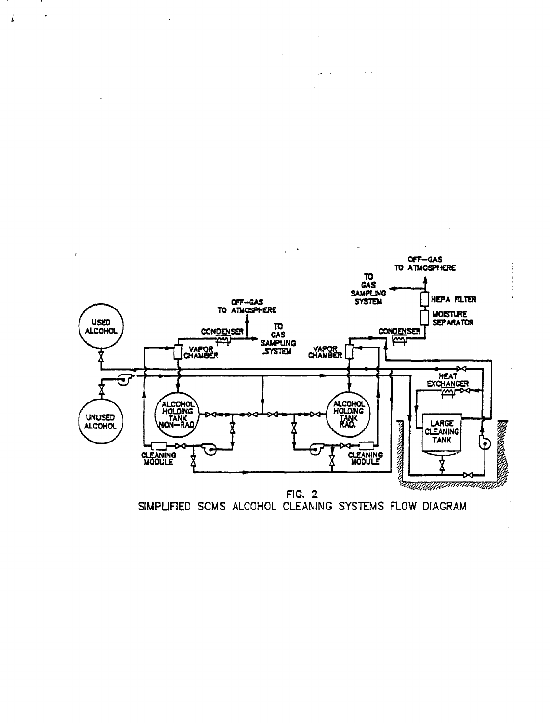

 $\ddot{\phantom{0}}$  $\sim$   $\sim$ 

 $\hat{\hat{\mathbf{h}}}$ 

FIG. 2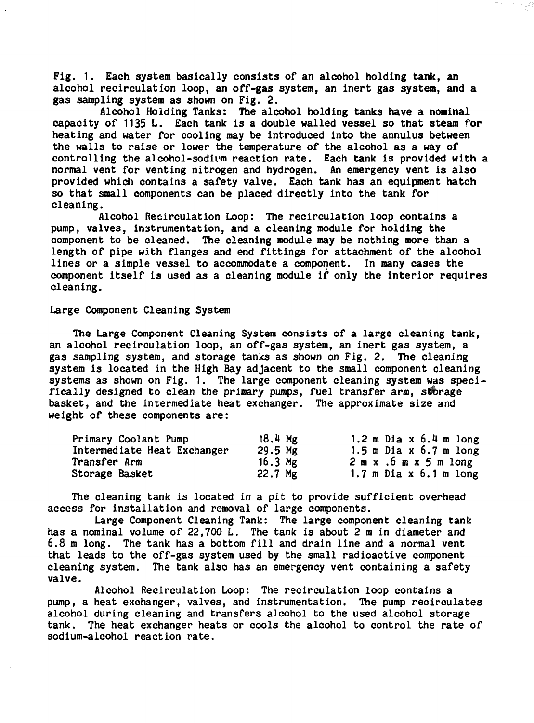**Fig. 1. Each system basically consists of an alcohol holding tank, an alcohol recirculation loop, an off-gas system, an inert gas system, and a gas sampling system as shown on Fig. 2.**

**Alcohol (folding Tanks: The alcohol holding tanks have a nominal capacity of 1135 L. Each tank is a double walled vessel so that steam for heating and water for cooling may be introduced into the annulus between the walls to raise or lower the temperature of the alcohol as a way of controlling the alcohol-sodium reaction rate. Each tank is provided with a normal vent for venting nitrogen and hydrogen. An emergency vent is also provided which contains a safety valve. Each tank has an equipment hatch so that small components can be placed directly into the tank for cleaning.**

**Alcohol Recirculation Loop: The recirculation loop contains a pump, valves, instrumentation, and a cleaning module for holding the component to be cleaned. The cleaning module may be nothing more than a length of pipe with flanges and end fittings for attachment of the alcohol lines or a simple vessel to accommodate a component. In many cases the component itself is used as a cleaning module if only the interior requires cleaning.**

## **Large Component Cleaning System**

**The Large Component Cleaning System consists of a large cleaning tank, an alcohol recirculation loop, an off-gas system, an inert gas system, a gas sampling system, and storage tanks as shown on Fig. 2. The cleaning system is located in the High Bay adjacent to the small component cleaning** systems as shown on Fig. 1. The large component cleaning system was specifically designed to clean the primary pumps, fuel transfer arm, storage **basket, and the intermediate heat exchanger. The approximate size and weight of these components are:**

| Primary Coolant Pump        | 18.4 Mg   | 1.2 m Dia $x$ 6.4 m long                  |
|-----------------------------|-----------|-------------------------------------------|
| Intermediate Heat Exchanger | $29.5$ Mg | 1.5 m Dia $x$ 6.7 m long                  |
| Transfer Arm                | 16.3 $Mg$ | $2 \text{ m x}$ . 6 $\text{m x 5 m long}$ |
| Storage Basket              | 22.7 Mg   | 1.7 m Dia $x$ 6.1 m long                  |

**The cleaning tank is located in a pit to provide sufficient overhead access for installation and removal of large components.**

**Large Component Cleaning Tank: The large component cleaning tank has a nominal volume of 22,700 L. The tank is about 2 m in diameter and 6.8 m long. The tank has a bottom fill and drain line and a normal vent that leads to the off-gas system used by the small radioactive component cleaning system. The tank also has an emergency vent containing a safety valve.**

**Alcohol Recirculation Loop: The recirculation loop contains a pump, a heat exchanger, valves, and instrumentation. The pump recirculates alcohol during cleaning and transfers alcohol to the used alcohol storage tank. The heat exchanger heats or cools the alcohol to control the rate of sodium-alcohol reaction rate.**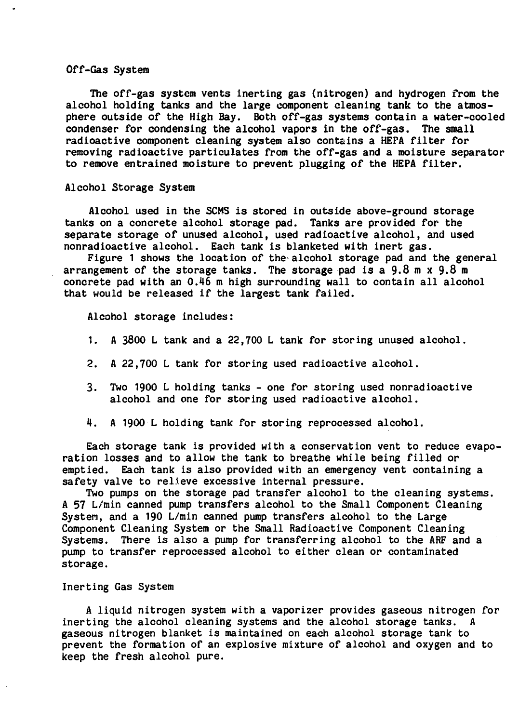## **Off-Gas System**

**Hie off-gas system vents inerting gas (nitrogen) and hydrogen from the alcohol holding tanks and the large component cleaning tank to the atmosphere outside of the High Bay. Both off-gas systems contain a water-cooled condenser for condensing the alcohol vapors in the off-gas. The small radioactive component cleaning system also contains a HEPA filter for removing radioactive particulates from the off-gas and a moisture separator to remove entrained moisture to prevent plugging of the HEPA filter.**

## **Alcohol Storage System**

**Alcohol used in the SCMS is stored in outside above-ground storage tanks on a concrete alcohol storage pad. Tanks are provided for the separate storage of unused alcohol, used radioactive alcohol, and used nonradioactive alcohol. Each tank is blanketed with inert gas.**

**Figure 1 shows the location of the-alcohol storage pad and the general arrangement of the storage tanks. The storage pad isa9.8mx9.8 m concrete pad with an 0.46 m high surrounding wall to contain all alcohol that would be released if the largest tank failed.**

**Alcohol storage includes:**

- **1. A 3800 L tank and a 22,700 L tank for storing unused alcohol.**
- **2. A 22,700 L tank for storing used radioactive alcohol.**
- **3. Two 1900 L holding tanks one for storing used nonradioactive alcohol and one for storing used radioactive alcohol.**
- **4. A 1900 L holding tank for storing reprocessed alcohol.**

**Each storage tank is provided with a conservation vent to reduce evaporation losses and to allow the tank to breathe while being filled or emptied. Each tank is also provided with an emergency vent containing a safety valve to relieve excessive internal pressure.**

**Two pumps on the storage pad transfer alcohol to the cleaning systems. A 57 L/min canned pump transfers alcohol to the Small Component Cleaning System, and a 190 L/min canned pump transfers alcohol to the Large Component Cleaning System or the Small Radioactive Component Cleaning Systems. There is also a pump for transferring alcohol to the ARF and a pump to transfer reprocessed alcohol to either clean or contaminated storage.**

## **Inerting Gas System**

**A liquid nitrogen system with a vaporizer provides gaseous nitrogen for inerting the alcohol cleaning systems and the alcohol storage tanks. A gaseous nitrogen blanket is maintained on each alcohol storage tank to prevent the formation of an explosive mixture of alcohol and oxygen and to keep the fresh alcohol pure.**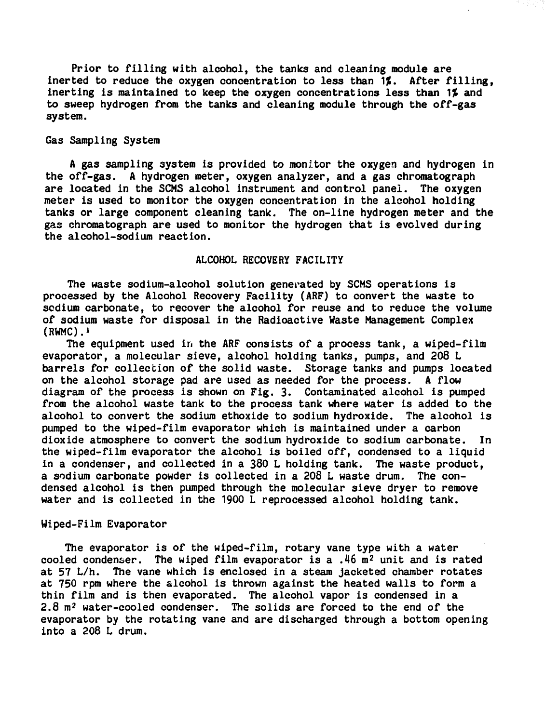**Prior to filling with alcohol, the tanks and cleaning module are inerted to reduce the oxygen concentration to less than W. After filling, inerting is maintained to keep the oxygen concentrations less than ^% and to sweep hydrogen from the tanks and cleaning module through the off-gas system.**

# **Gas Sampling System**

**A gas sampling system is provided to monitor the oxygen and hydrogen in the off-gas. A hydrogen meter, oxygen analyzer, and a gas chromatograph are located in the SCMS alcohol instrument and control panel. The oxygen meter is used to monitor the oxygen concentration in the alcohol holding tanks or large component cleaning tank. The on-line hydrogen meter and the gas chromatograph are used to monitor the hydrogen that is evolved during the alcohol-sodium reaction.**

# **ALCOHOL RECOVERY FACILITY**

**The waste sodium-alcohol solution generated by SCMS operations is processed by the Alcohol Recovery Facility (ARF) to convert the waste to scdium carbonate, to recover the alcohol for reuse and to reduce the volume of sodium waste for disposal in the Radioactive Waste Management Complex (RWMC).i**

**The equipment used in the ARF consists of a process tank, a wiped-film evaporator, a molecular sieve, alcohol holding tanks, pumps, and 208 L barrels for collection of the solid waste. Storage tanks and pumps located on the alcohol storage pad are used as needed for the process. A flow diagram of the process is shown on Fig. 3. Contaminated alcohol is pumped from the alcohol waste tank to the process tank where water is added to the alcohol to convert the sodium ethoxide to sodium hydroxide. The alcohol is pumped to the wiped-film evaporator which is maintained under a carbon dioxide atmosphere to convert the sodium hydroxide to sodium carbonate. In the wiped-film evaporator the alcohol is boiled off, condensed to a liquid in a condenser, and collected in a 380 L holding tank. The waste product, a sodium carbonate powder is collected in a 208 L waste drum. The condensed alcohol is then pumped through the molecular sieve dryer to remove water and is collected in the 1900 L reprocessed alcohol holding tank.**

## **Wiped-Film Evaporator**

**The evaporator is of the wiped-film, rotary vane type with a water cooled condenser. The wiped film evaporator is a .46 m<sup>2</sup> unit and is rated at 57 L/h. The vane which is enclosed in a steam jacketed chamber rotates at 750 rpm where the alcohol is thrown against the heated walls to form a thin film and is then evaporated. The alcohol vapor is condensed in a 2.8 m<sup>2</sup> water-cooled condenser. The solids are forced to the end of the evaporator by the rotating vane and are discharged through a bottom opening into a 208 L drum.**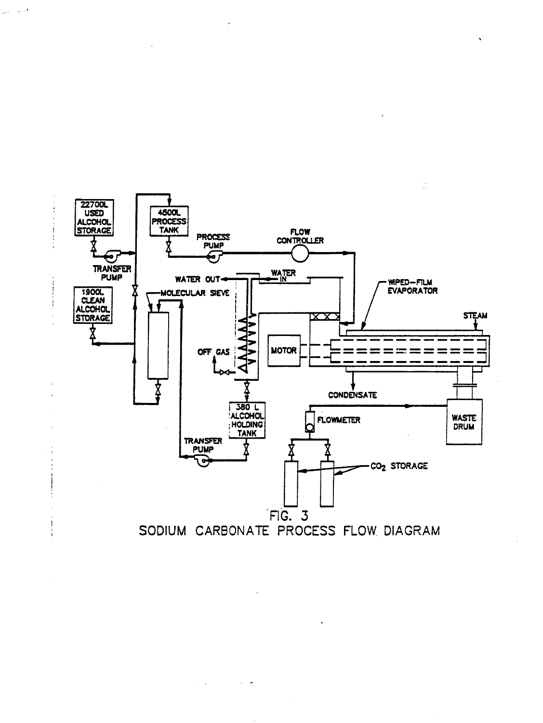

 $\bar{.}$ 

 $\sim 10$ 

 $\mathbb{R}^3$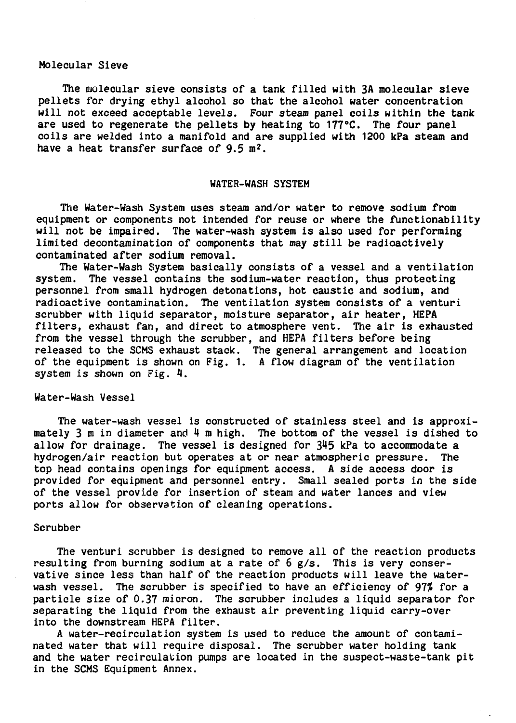#### **Molecular Sieve**

**The molecular sieve consists of a tank filled with 3A molecular sieve pellets for drying ethyl alcohol so that the alcohol water concentration will not exceed acceptable levels. Four steam panel coils within the tank are used to regenerate the pellets by heating to 177°C. The four panel coils are welded into a manifold and are supplied with 1200 kPa steam and have a heat transfer surface of 9.5 m<sup>2</sup>.**

### **WATER-WASH SYSTEM**

**The Water-Wash System uses steam and/or water to remove sodium from equipment or components not intended for reuse or where the functionability will not be impaired. The water-wash system is also used for performing limited decontamination of components that may still be radioactively contaminated after sodium removal.**

**The Water-Wash System basically consists of a vessel and a ventilation system. The vessel contains the sodium-water reaction, thus protecting personnel from small hydrogen detonations, hot caustic and sodium, and radioactive contamination. The ventilation system consists of a venturi scrubber with liquid separator, moisture separator, air heater, HEPA filters, exhaust fan, and direct to atmosphere vent. The air is exhausted from the vessel through the scrubber, and HEPA filters before being released to the SCMS exhaust stack. The general arrangement and location of the equipment is shown on Fig. 1. A flow diagram of the ventilation system is shown on Fig. 4.**

## **Water-Wash Vessel**

**The water-wash vessel is constructed of stainless steel and is approximately 3 m in diameter and 4 m high. The bottom of the vessel is dished to allow for drainage. The vessel is designed for 345 kPa to accommodate a hydrogen/air reaction but operates at or near atmospheric pressure. The top head contains openings for equipment access. A side access door is provided for equipment and personnel entry. Small sealed ports in the side of the vessel provide for insertion of steam and water lances and view ports allow for observation of cleaning operations.**

#### **Scrubber**

**The venturi scrubber is designed to remove all of the reaction products resulting from burning sodium at a rate of 6 g/s. This is very conservative since less than half of the reaction products will leave the waterwash vessel. The scrubber is specified to have an efficiency of 97^ for a particle size of 0.37 micron. The scrubber includes a liquid separator for separating the liquid from the exhaust air preventing liquid carry-over into the downstream HEPA filter.**

**A water-recirculation system is used to reduce the amount of contaminated water that will require disposal. The scrubber water holding tank and the water recirculation pumps are located in the suspect-waste-tank pit in the SCMS Equipment Annex.**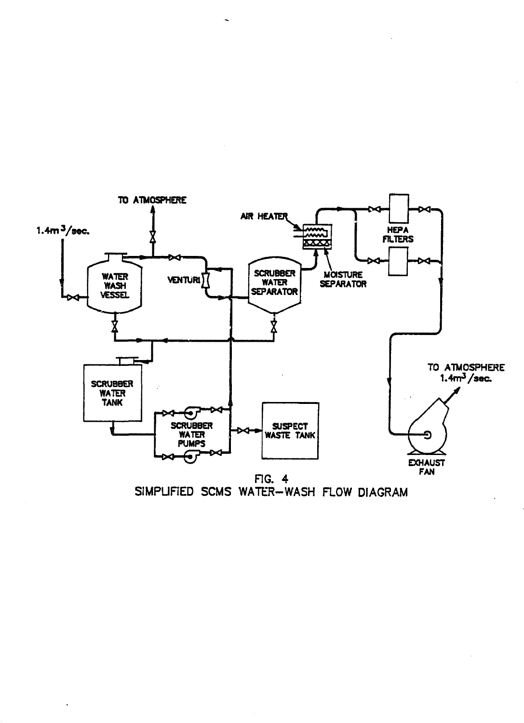

SIMPLIFIED SCMS WATER-WASH FLOW DIAGRAM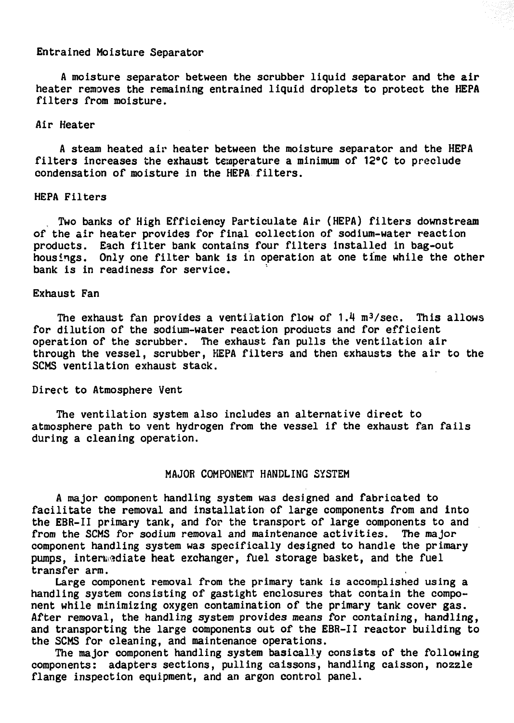#### **Entrained Moisture Separator**

**A moisture separator between the scrubber liquid separator and the air heater removes the remaining entrained liquid droplets to protect the KEPA filters from moisture.**

## **Air Heater**

**A steam heated air heater between the moisture separator and the HEPA filters increases the exhaust temperature a minimum of 12°C to preclude condensation of moisture in the HEPA filters.**

## **HEPA Filters**

**Two banks of High Efficiency Particulate Air (HEPA) filters downstream of the air heater provides for final collection of sodium-water reaction products. Each filter bank contains four filters installed in bag-out housings. Only one filter bank is in operation at one time while the other bank is in readiness for service.**

## **Exhaust Fan**

The exhaust fan provides a ventilation flow of 1.4 m<sup>3</sup>/sec. This allows **for dilution of the sodium-water reaction products and for efficient operation of the scrubber. The exhaust fan pulls the ventilation air through the vessel, scrubber, HEPA filters and then exhausts the air to the SCMS ventilation exhaust stack.**

#### **Direct to Atmosphere Vent**

**The ventilation system also includes an alternative direct to atmosphere path to vent hydrogen from the vessel if the exhaust fan fails during a cleaning operation.**

# **MAJOR COMPONENT HANDLING SYSTEM**

**A major component handling system was designed and fabricated to facilitate the removal and installation of large components from and into the EBR-II primary tank, and for the transport of large components to and from the SCMS for sodium removal and maintenance activities. The major component handling system was specifically designed to handle the primary pumps, intermediate heat exchanger, fuel storage basket, and the fuel transfer arm.**

**Large component removal from the primary tank is accomplished using a handling system consisting of gastight enclosures that contain the component while minimizing oxygen contamination of the primary tank cover gas. After removal, the handling system provides means for containing, handling, and transporting the large components out of the EBR-II reactor building to the SCMS for cleaning, and maintenance operations.**

**The major component handling system basically consists of the following components: adapters sections, pulling caissons, handling caisson, nozzle flange inspection equipment, and an argon control panel.**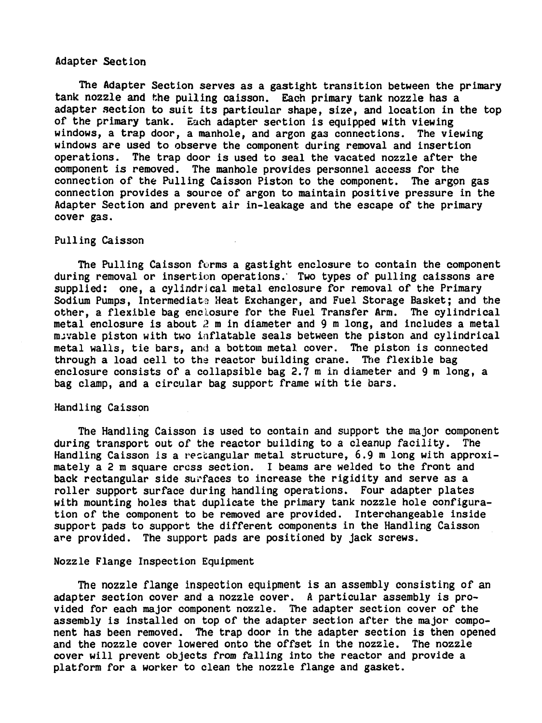## **Adapter Section**

**The Adapter Section serves as a gastight transition between the primary tank nozzle and the pulling caisson. Each primary tank nozzle has a adapter section to suit its particular shape, size, and location in the top of the primary tank. Each adapter section is equipped with viewing windows, a trap door, a manhole, and argon gas connections. The viewing windows are used to observe the component during removal and insertion operations. The trap door is used to seal the vacated nozzle after the component is removed. The manhole provides personnel access for the connection of the Pulling Caisson Piston to the component. The argon gas connection provides a source of argon to maintain positive pressure in the Adapter Section and prevent air in-leakage and the escape of the primary cover gas.**

## **Pulling Caisson**

**The Pulling Caisson forms a gastight enclosure to contain the component during removal or insertion operations.' Two types of pulling caissons are supplied: one, a cylindrical metal enclosure for removal of the Primary Sodium Pumps, Intermediate: Heat Exchanger, and Fuel Storage Basket; and the other, a flexible bag enclosure for the Fuel Transfer Arm. The cylindrical metal enclosure is about 2 m in diameter and 9 m long, and includes a metal nuvable piston with two inflatable seals between the piston and cylindrical metal walls, tie bars, and a bottom metal cover. The piston is connected through a load cell to the reactor building crane. The flexible bag enclosure consists of a collapsible bag 2.7 m in diameter and 9 m long, a bag clamp, and a circular bag support frame with tie bars.**

#### **Handling Caisson**

**The Handling Caisson is used to contain and support the major component during transport out of the reactor building to a cleanup facility. The Handling Caisson is a recbangular metal structure, 6.9 m long with approximately a 2 m square cross section. I beams are welded to the front and back rectangular side surfaces to increase the rigidity and serve as a roller support surface during handling operations. Four adapter plates with mounting holes that duplicate the primary tank nozzle hole configuration of the component to be removed are provided. Interchangeable inside support pads to support the different components in the Handling Caisson are provided. The support pads are positioned by jack screws.**

#### **Nozzle Flange Inspection Equipment**

**The nozzle flange inspection equipment is an assembly consisting of an adapter section cover and a nozzle cover. A particular assembly is provided for each major component nozzle. The adapter section cover of the assembly is installed on top of the adapter section after the major component has been removed. The trap door in the adapter section is then opened and the nozzle cover lowered onto the offset in the nozzle. The nozzle cover will prevent objects from falling into the reactor and provide a platform for a worker to clean the nozzle flange and gasket.**